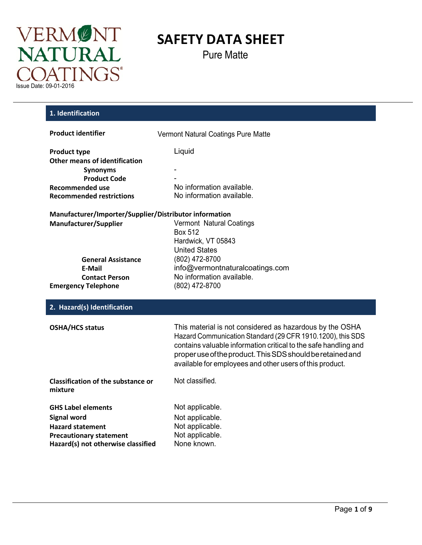

Pure Matte

| 1. Identification                                      |                                                                                                                                                                                                                                                                                                                     |
|--------------------------------------------------------|---------------------------------------------------------------------------------------------------------------------------------------------------------------------------------------------------------------------------------------------------------------------------------------------------------------------|
| <b>Product identifier</b>                              | Vermont Natural Coatings Pure Matte                                                                                                                                                                                                                                                                                 |
| <b>Product type</b>                                    | Liquid                                                                                                                                                                                                                                                                                                              |
| <b>Other means of identification</b>                   |                                                                                                                                                                                                                                                                                                                     |
| <b>Synonyms</b><br><b>Product Code</b>                 |                                                                                                                                                                                                                                                                                                                     |
| <b>Recommended use</b>                                 | No information available.                                                                                                                                                                                                                                                                                           |
| <b>Recommended restrictions</b>                        | No information available.                                                                                                                                                                                                                                                                                           |
| Manufacturer/Importer/Supplier/Distributor information |                                                                                                                                                                                                                                                                                                                     |
| Manufacturer/Supplier                                  | Vermont Natural Coatings                                                                                                                                                                                                                                                                                            |
|                                                        | <b>Box 512</b>                                                                                                                                                                                                                                                                                                      |
|                                                        | Hardwick, VT 05843<br><b>United States</b>                                                                                                                                                                                                                                                                          |
| <b>General Assistance</b>                              | (802) 472-8700                                                                                                                                                                                                                                                                                                      |
| E-Mail                                                 | info@vermontnaturalcoatings.com                                                                                                                                                                                                                                                                                     |
| <b>Contact Person</b>                                  | No information available.                                                                                                                                                                                                                                                                                           |
| <b>Emergency Telephone</b>                             | (802) 472-8700                                                                                                                                                                                                                                                                                                      |
| 2. Hazard(s) Identification                            |                                                                                                                                                                                                                                                                                                                     |
| <b>OSHA/HCS status</b>                                 | This material is not considered as hazardous by the OSHA<br>Hazard Communication Standard (29 CFR 1910.1200), this SDS<br>contains valuable information critical to the safe handling and<br>proper use of the product. This SDS should be retained and<br>available for employees and other users of this product. |
| <b>Classification of the substance or</b><br>mixture   | Not classified.                                                                                                                                                                                                                                                                                                     |
| <b>GHS Label elements</b>                              | Not applicable.                                                                                                                                                                                                                                                                                                     |
| <b>Signal word</b>                                     | Not applicable.                                                                                                                                                                                                                                                                                                     |
| <b>Hazard statement</b>                                | Not applicable.                                                                                                                                                                                                                                                                                                     |
| <b>Precautionary statement</b>                         | Not applicable.                                                                                                                                                                                                                                                                                                     |
| Hazard(s) not otherwise classified                     | None known.                                                                                                                                                                                                                                                                                                         |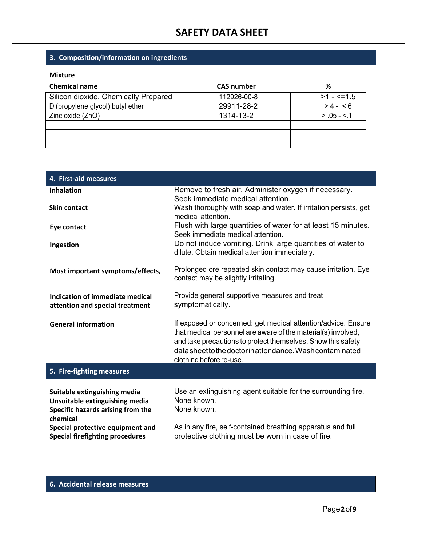### **3. Composition/information on ingredients**

#### **Mixture**

| <b>Chemical name</b>                 | <b>CAS number</b> | %              |
|--------------------------------------|-------------------|----------------|
| Silicon dioxide, Chemically Prepared | 112926-00-8       | $>1 - 5 = 1.5$ |
| Di(propylene glycol) butyl ether     | 29911-28-2        | $> 4 - 6$      |
| Zinc oxide (ZnO)                     | 1314-13-2         | $> 0.05 - 5.1$ |
|                                      |                   |                |
|                                      |                   |                |
|                                      |                   |                |

| 4. First-aid measures                                              |                                                                                                                                                                                                                                                                                        |
|--------------------------------------------------------------------|----------------------------------------------------------------------------------------------------------------------------------------------------------------------------------------------------------------------------------------------------------------------------------------|
| <b>Inhalation</b>                                                  | Remove to fresh air. Administer oxygen if necessary.<br>Seek immediate medical attention.                                                                                                                                                                                              |
| <b>Skin contact</b>                                                | Wash thoroughly with soap and water. If irritation persists, get<br>medical attention.                                                                                                                                                                                                 |
| Eye contact                                                        | Flush with large quantities of water for at least 15 minutes.<br>Seek immediate medical attention.                                                                                                                                                                                     |
| Ingestion                                                          | Do not induce vomiting. Drink large quantities of water to<br>dilute. Obtain medical attention immediately.                                                                                                                                                                            |
| Most important symptoms/effects,                                   | Prolonged ore repeated skin contact may cause irritation. Eye<br>contact may be slightly irritating.                                                                                                                                                                                   |
| Indication of immediate medical<br>attention and special treatment | Provide general supportive measures and treat<br>symptomatically.                                                                                                                                                                                                                      |
| <b>General information</b>                                         | If exposed or concerned: get medical attention/advice. Ensure<br>that medical personnel are aware of the material(s) involved,<br>and take precautions to protect themselves. Show this safety<br>data sheet to the doctor in attendance. Wash contaminated<br>clothing before re-use. |
| 5. Fire-fighting measures                                          |                                                                                                                                                                                                                                                                                        |

| Suitable extinguishing media<br>Unsuitable extinguishing media<br>Specific hazards arising from the<br>chemical | Use an extinguishing agent suitable for the surrounding fire.<br>None known.<br>None known. |
|-----------------------------------------------------------------------------------------------------------------|---------------------------------------------------------------------------------------------|
| Special protective equipment and                                                                                | As in any fire, self-contained breathing apparatus and full                                 |
| <b>Special firefighting procedures</b>                                                                          | protective clothing must be worn in case of fire.                                           |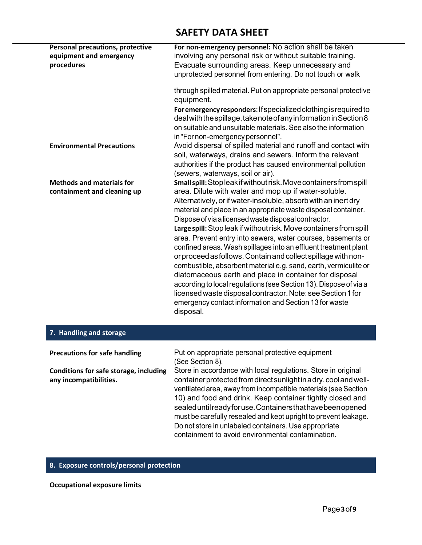| <b>Personal precautions, protective</b> | For non-emergency personnel: No action shall be taken                                                                                                                                                                                                                                                                                                                                                                                                                                                                                                                                                           |
|-----------------------------------------|-----------------------------------------------------------------------------------------------------------------------------------------------------------------------------------------------------------------------------------------------------------------------------------------------------------------------------------------------------------------------------------------------------------------------------------------------------------------------------------------------------------------------------------------------------------------------------------------------------------------|
| equipment and emergency                 | involving any personal risk or without suitable training.                                                                                                                                                                                                                                                                                                                                                                                                                                                                                                                                                       |
| procedures                              | Evacuate surrounding areas. Keep unnecessary and                                                                                                                                                                                                                                                                                                                                                                                                                                                                                                                                                                |
|                                         | unprotected personnel from entering. Do not touch or walk                                                                                                                                                                                                                                                                                                                                                                                                                                                                                                                                                       |
|                                         | through spilled material. Put on appropriate personal protective<br>equipment.                                                                                                                                                                                                                                                                                                                                                                                                                                                                                                                                  |
|                                         | For emergency responders: If specialized clothing is required to<br>deal with the spillage, take note of any information in Section 8<br>on suitable and unsuitable materials. See also the information<br>in "For non-emergency personnel".                                                                                                                                                                                                                                                                                                                                                                    |
| <b>Environmental Precautions</b>        | Avoid dispersal of spilled material and runoff and contact with<br>soil, waterways, drains and sewers. Inform the relevant<br>authorities if the product has caused environmental pollution<br>(sewers, waterways, soil or air).                                                                                                                                                                                                                                                                                                                                                                                |
| <b>Methods and materials for</b>        | Small spill: Stop leak if without risk. Move containers from spill                                                                                                                                                                                                                                                                                                                                                                                                                                                                                                                                              |
| containment and cleaning up             | area. Dilute with water and mop up if water-soluble.                                                                                                                                                                                                                                                                                                                                                                                                                                                                                                                                                            |
|                                         | Alternatively, or if water-insoluble, absorb with an inert dry                                                                                                                                                                                                                                                                                                                                                                                                                                                                                                                                                  |
|                                         | material and place in an appropriate waste disposal container.                                                                                                                                                                                                                                                                                                                                                                                                                                                                                                                                                  |
|                                         | Dispose of via a licensed waste disposal contractor.                                                                                                                                                                                                                                                                                                                                                                                                                                                                                                                                                            |
|                                         | Large spill: Stop leak if without risk. Move containers from spill<br>area. Prevent entry into sewers, water courses, basements or<br>confined areas. Wash spillages into an effluent treatment plant<br>or proceed as follows. Contain and collect spillage with non-<br>combustible, absorbent material e.g. sand, earth, vermiculite or<br>diatomaceous earth and place in container for disposal<br>according to local regulations (see Section 13). Dispose of via a<br>licensed waste disposal contractor. Note: see Section 1 for<br>emergency contact information and Section 13 for waste<br>disposal. |
| 7. Handling and storage                 |                                                                                                                                                                                                                                                                                                                                                                                                                                                                                                                                                                                                                 |
|                                         |                                                                                                                                                                                                                                                                                                                                                                                                                                                                                                                                                                                                                 |

| <b>Precautions for safe handling</b>                             | Put on appropriate personal protective equipment<br>(See Section 8).                                                                                                                                                                                                                                                                                                                                                                                                                                               |
|------------------------------------------------------------------|--------------------------------------------------------------------------------------------------------------------------------------------------------------------------------------------------------------------------------------------------------------------------------------------------------------------------------------------------------------------------------------------------------------------------------------------------------------------------------------------------------------------|
| Conditions for safe storage, including<br>any incompatibilities. | Store in accordance with local regulations. Store in original<br>container protected from direct sunlight in a dry, cool and well-<br>ventilated area, away from incompatible materials (see Section<br>10) and food and drink. Keep container tightly closed and<br>sealed until ready for use. Containers that have been opened<br>must be carefully resealed and kept upright to prevent leakage.<br>Do not store in unlabeled containers. Use appropriate<br>containment to avoid environmental contamination. |

### **8. Exposure controls/personal protection**

**Occupational exposure limits**

 $\qquad \qquad$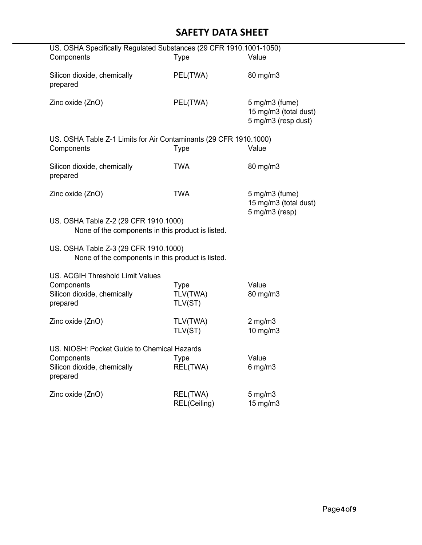| US. OSHA Specifically Regulated Substances (29 CFR 1910.1001-1050)                                           |                                    |                                                                     |  |
|--------------------------------------------------------------------------------------------------------------|------------------------------------|---------------------------------------------------------------------|--|
| Components                                                                                                   | <b>Type</b>                        | Value                                                               |  |
| Silicon dioxide, chemically<br>prepared                                                                      | PEL(TWA)                           | 80 mg/m3                                                            |  |
| Zinc oxide (ZnO)                                                                                             | PEL(TWA)                           | $5$ mg/m $3$ (fume)<br>15 mg/m3 (total dust)<br>5 mg/m3 (resp dust) |  |
| US. OSHA Table Z-1 Limits for Air Contaminants (29 CFR 1910.1000)<br>Components                              | <b>Type</b>                        | Value                                                               |  |
| Silicon dioxide, chemically<br>prepared                                                                      | <b>TWA</b>                         | 80 mg/m3                                                            |  |
| Zinc oxide (ZnO)                                                                                             | <b>TWA</b>                         | $5$ mg/m $3$ (fume)<br>15 mg/m3 (total dust)                        |  |
| 5 mg/m3 (resp)<br>US. OSHA Table Z-2 (29 CFR 1910.1000)<br>None of the components in this product is listed. |                                    |                                                                     |  |
| US. OSHA Table Z-3 (29 CFR 1910.1000)<br>None of the components in this product is listed.                   |                                    |                                                                     |  |
| <b>US. ACGIH Threshold Limit Values</b><br>Components<br>Silicon dioxide, chemically<br>prepared             | <b>Type</b><br>TLV(TWA)<br>TLV(ST) | Value<br>80 mg/m3                                                   |  |
| Zinc oxide (ZnO)                                                                                             | TLV(TWA)<br>TLV(ST)                | $2$ mg/m $3$<br>$10$ mg/m $3$                                       |  |
| US. NIOSH: Pocket Guide to Chemical Hazards<br>Components<br>Silicon dioxide, chemically<br>prepared         | Type<br>REL(TWA)                   | Value<br>$6$ mg/m $3$                                               |  |
| Zinc oxide (ZnO)                                                                                             | REL(TWA)<br>REL(Ceiling)           | $5$ mg/m $3$<br>15 mg/m3                                            |  |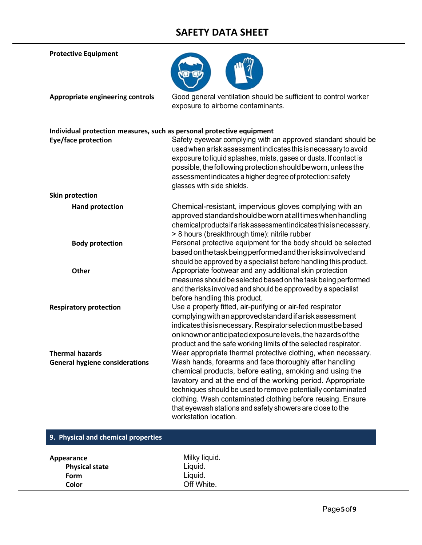**Protective Equipment**



**Appropriate engineering controls** Good general ventilation should be sufficient to control worker exposure to airborne contaminants.

|                                       | Individual protection measures, such as personal protective equipment                                                                                                                                                                                                                                                                                                                                 |
|---------------------------------------|-------------------------------------------------------------------------------------------------------------------------------------------------------------------------------------------------------------------------------------------------------------------------------------------------------------------------------------------------------------------------------------------------------|
| Eye/face protection                   | Safety eyewear complying with an approved standard should be<br>used when a risk assessment indicates this is necessary to avoid<br>exposure to liquid splashes, mists, gases or dusts. If contact is<br>possible, the following protection should be worn, unless the<br>assessment indicates a higher degree of protection: safety<br>glasses with side shields.                                    |
| <b>Skin protection</b>                |                                                                                                                                                                                                                                                                                                                                                                                                       |
| <b>Hand protection</b>                | Chemical-resistant, impervious gloves complying with an<br>approved standard should be worn at all times when handling<br>chemical products if a risk assessment indicates this is necessary.<br>> 8 hours (breakthrough time): nitrile rubber                                                                                                                                                        |
| <b>Body protection</b>                | Personal protective equipment for the body should be selected<br>based on the task being performed and the risks involved and<br>should be approved by a specialist before handling this product.                                                                                                                                                                                                     |
| <b>Other</b>                          | Appropriate footwear and any additional skin protection<br>measures should be selected based on the task being performed<br>and the risks involved and should be approved by a specialist<br>before handling this product.                                                                                                                                                                            |
| <b>Respiratory protection</b>         | Use a properly fitted, air-purifying or air-fed respirator<br>complying with an approved standard if a risk assessment<br>indicates this is necessary. Respirator selection must be based<br>on known or anticipated exposure levels, the hazards of the<br>product and the safe working limits of the selected respirator.                                                                           |
| <b>Thermal hazards</b>                | Wear appropriate thermal protective clothing, when necessary.                                                                                                                                                                                                                                                                                                                                         |
| <b>General hygiene considerations</b> | Wash hands, forearms and face thoroughly after handling<br>chemical products, before eating, smoking and using the<br>lavatory and at the end of the working period. Appropriate<br>techniques should be used to remove potentially contaminated<br>clothing. Wash contaminated clothing before reusing. Ensure<br>that eyewash stations and safety showers are close to the<br>workstation location. |

| 9. Physical and chemical properties |               |  |
|-------------------------------------|---------------|--|
| Appearance                          | Milky liquid. |  |
| <b>Physical state</b>               | Liquid.       |  |
| <b>Form</b>                         | Liquid.       |  |
| Color                               | Off White.    |  |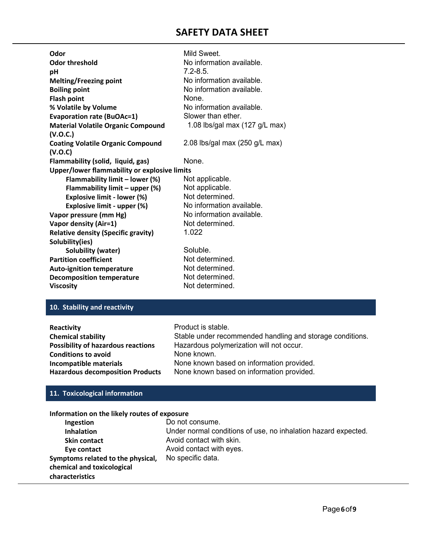| Odor                                         | Mild Sweet.                                      |
|----------------------------------------------|--------------------------------------------------|
| <b>Odor threshold</b>                        | No information available.                        |
| рH                                           | $7.2 - 8.5$                                      |
| <b>Melting/Freezing point</b>                | No information available.                        |
| <b>Boiling point</b>                         | No information available.                        |
| <b>Flash point</b>                           | None.                                            |
| % Volatile by Volume                         | No information available.                        |
| <b>Evaporation rate (BuOAc=1)</b>            | Slower than ether.                               |
| <b>Material Volatile Organic Compound</b>    | 1.08 lbs/gal max $(127 \text{ g/L} \text{ max})$ |
| (V.O.C.)                                     |                                                  |
| <b>Coating Volatile Organic Compound</b>     | 2.08 lbs/gal max $(250 \text{ g/L} \text{ max})$ |
| (V.O.C)                                      |                                                  |
| Flammability (solid, liquid, gas)            | None.                                            |
| Upper/lower flammability or explosive limits |                                                  |
| Flammability limit - lower (%)               | Not applicable.                                  |
| Flammability limit - upper (%)               | Not applicable.                                  |
| Explosive limit - lower (%)                  | Not determined.                                  |
| Explosive limit - upper (%)                  | No information available.                        |
| Vapor pressure (mm Hg)                       | No information available.                        |
| Vapor density (Air=1)                        | Not determined.                                  |
| <b>Relative density (Specific gravity)</b>   | 1.022                                            |
| Solubility(ies)                              |                                                  |
| Solubility (water)                           | Soluble.                                         |
| <b>Partition coefficient</b>                 | Not determined.                                  |
| <b>Auto-ignition temperature</b>             | Not determined.                                  |
| <b>Decomposition temperature</b>             | Not determined.                                  |
| <b>Viscosity</b>                             | Not determined.                                  |

#### **10. Stability and reactivity**

| Reactivity                                | Product is stable.                                        |
|-------------------------------------------|-----------------------------------------------------------|
| <b>Chemical stability</b>                 | Stable under recommended handling and storage conditions. |
| <b>Possibility of hazardous reactions</b> | Hazardous polymerization will not occur.                  |
| <b>Conditions to avoid</b>                | None known.                                               |
| Incompatible materials                    | None known based on information provided.                 |
| <b>Hazardous decomposition Products</b>   | None known based on information provided.                 |

### **11. Toxicological information**

#### **Information on the likely routes of exposure**

| Ingestion                         | Do not consume.                                                |
|-----------------------------------|----------------------------------------------------------------|
| <b>Inhalation</b>                 | Under normal conditions of use, no inhalation hazard expected. |
| <b>Skin contact</b>               | Avoid contact with skin.                                       |
| Eye contact                       | Avoid contact with eyes.                                       |
| Symptoms related to the physical, | No specific data.                                              |
| chemical and toxicological        |                                                                |
| characteristics                   |                                                                |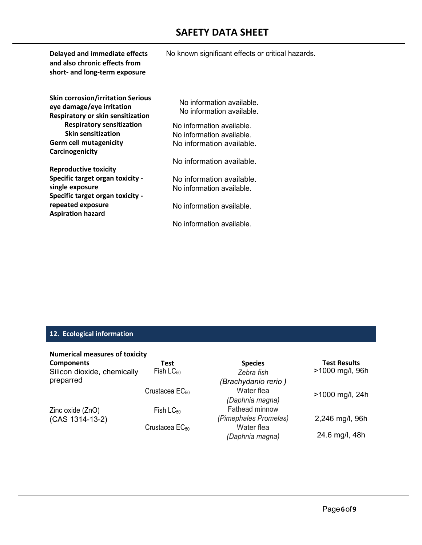| Delayed and immediate effects<br>and also chronic effects from<br>short- and long-term exposure            | No known significant effects or critical hazards.      |
|------------------------------------------------------------------------------------------------------------|--------------------------------------------------------|
| <b>Skin corrosion/irritation Serious</b><br>eye damage/eye irritation<br>Respiratory or skin sensitization | No information available.<br>No information available. |
| <b>Respiratory sensitization</b><br><b>Skin sensitization</b>                                              | No information available.                              |
|                                                                                                            | No information available.                              |
| <b>Germ cell mutagenicity</b>                                                                              | No information available.                              |
| Carcinogenicity                                                                                            |                                                        |
|                                                                                                            | No information available.                              |
| <b>Reproductive toxicity</b>                                                                               |                                                        |
| Specific target organ toxicity -                                                                           | No information available.                              |
| single exposure                                                                                            | No information available.                              |
| Specific target organ toxicity -                                                                           |                                                        |
| repeated exposure<br><b>Aspiration hazard</b>                                                              | No information available.                              |
|                                                                                                            | No information available.                              |

#### **12. Ecological information**

| <b>Numerical measures of toxicity</b> |  |
|---------------------------------------|--|
|---------------------------------------|--|

| <b>Components</b>           | Test                | <b>Species</b>        | <b>Test Results</b> |
|-----------------------------|---------------------|-----------------------|---------------------|
| Silicon dioxide, chemically | Fish $LC_{50}$      | Zebra fish            | >1000 mg/l, 96h     |
| preparred                   |                     | (Brachydanio rerio)   |                     |
|                             | Crustacea $EC_{50}$ | Water flea            | >1000 mg/l, 24h     |
|                             |                     | (Daphnia magna)       |                     |
| Zinc oxide (ZnO)            | Fish $LC_{50}$      | Fathead minnow        |                     |
| (CAS 1314-13-2)             |                     | (Pimephales Promelas) | 2,246 mg/l, 96h     |
|                             | Crustacea $EC_{50}$ | Water flea            |                     |
|                             |                     | (Daphnia magna)       | 24.6 mg/l, 48h      |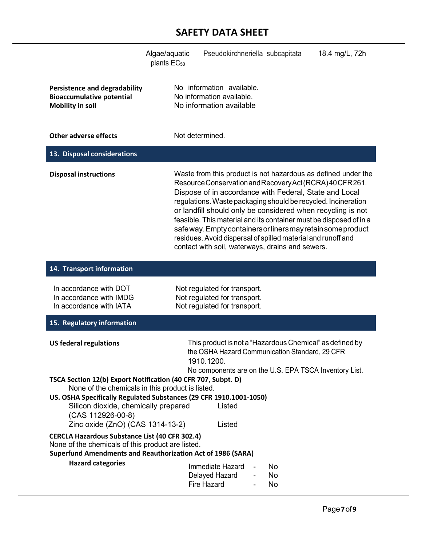|                                                                                                                                                                                                                                                                                                                                                                                                                                                                                                                                                                                              | Pseudokirchneriella subcapitata<br>Algae/aquatic<br>18.4 mg/L, 72h<br>plants $EC_{50}$                                                                                                                                                                                                                                                                                                                                                                                                                                                                                         |  |  |  |
|----------------------------------------------------------------------------------------------------------------------------------------------------------------------------------------------------------------------------------------------------------------------------------------------------------------------------------------------------------------------------------------------------------------------------------------------------------------------------------------------------------------------------------------------------------------------------------------------|--------------------------------------------------------------------------------------------------------------------------------------------------------------------------------------------------------------------------------------------------------------------------------------------------------------------------------------------------------------------------------------------------------------------------------------------------------------------------------------------------------------------------------------------------------------------------------|--|--|--|
| <b>Persistence and degradability</b><br><b>Bioaccumulative potential</b><br><b>Mobility in soil</b>                                                                                                                                                                                                                                                                                                                                                                                                                                                                                          | No information available.<br>No information available.<br>No information available                                                                                                                                                                                                                                                                                                                                                                                                                                                                                             |  |  |  |
| <b>Other adverse effects</b>                                                                                                                                                                                                                                                                                                                                                                                                                                                                                                                                                                 | Not determined.                                                                                                                                                                                                                                                                                                                                                                                                                                                                                                                                                                |  |  |  |
| 13. Disposal considerations                                                                                                                                                                                                                                                                                                                                                                                                                                                                                                                                                                  |                                                                                                                                                                                                                                                                                                                                                                                                                                                                                                                                                                                |  |  |  |
| <b>Disposal instructions</b>                                                                                                                                                                                                                                                                                                                                                                                                                                                                                                                                                                 | Waste from this product is not hazardous as defined under the<br>Resource Conservation and Recovery Act (RCRA) 40 CFR 261.<br>Dispose of in accordance with Federal, State and Local<br>regulations. Waste packaging should be recycled. Incineration<br>or landfill should only be considered when recycling is not<br>feasible. This material and its container must be disposed of in a<br>safe way. Empty containers or liners may retain some product<br>residues. Avoid dispersal of spilled material and runoff and<br>contact with soil, waterways, drains and sewers. |  |  |  |
| 14. Transport information                                                                                                                                                                                                                                                                                                                                                                                                                                                                                                                                                                    |                                                                                                                                                                                                                                                                                                                                                                                                                                                                                                                                                                                |  |  |  |
| In accordance with DOT<br>In accordance with IMDG<br>In accordance with IATA                                                                                                                                                                                                                                                                                                                                                                                                                                                                                                                 | Not regulated for transport.<br>Not regulated for transport.<br>Not regulated for transport.                                                                                                                                                                                                                                                                                                                                                                                                                                                                                   |  |  |  |
| 15. Regulatory information                                                                                                                                                                                                                                                                                                                                                                                                                                                                                                                                                                   |                                                                                                                                                                                                                                                                                                                                                                                                                                                                                                                                                                                |  |  |  |
| This product is not a "Hazardous Chemical" as defined by<br><b>US federal regulations</b><br>the OSHA Hazard Communication Standard, 29 CFR<br>1910.1200.<br>No components are on the U.S. EPA TSCA Inventory List.<br>TSCA Section 12(b) Export Notification (40 CFR 707, Subpt. D)<br>None of the chemicals in this product is listed.<br>US. OSHA Specifically Regulated Substances (29 CFR 1910.1001-1050)<br>Silicon dioxide, chemically prepared<br>Listed<br>(CAS 112926-00-8)<br>Zinc oxide (ZnO) (CAS 1314-13-2)<br>Listed<br><b>CERCLA Hazardous Substance List (40 CFR 302.4)</b> |                                                                                                                                                                                                                                                                                                                                                                                                                                                                                                                                                                                |  |  |  |
| None of the chemicals of this product are listed.<br><b>Superfund Amendments and Reauthorization Act of 1986 (SARA)</b>                                                                                                                                                                                                                                                                                                                                                                                                                                                                      |                                                                                                                                                                                                                                                                                                                                                                                                                                                                                                                                                                                |  |  |  |
| <b>Hazard categories</b>                                                                                                                                                                                                                                                                                                                                                                                                                                                                                                                                                                     | Immediate Hazard<br>No.<br>Delayed Hazard<br>No<br>Fire Hazard<br>No                                                                                                                                                                                                                                                                                                                                                                                                                                                                                                           |  |  |  |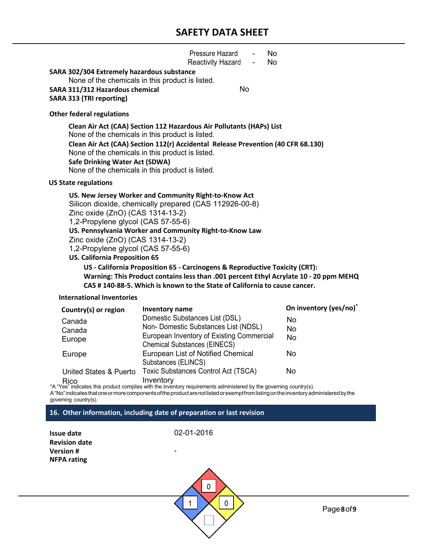|                                                                                                                                                                                                                                                                                                                                                                                                                                                                                                                                                                                                                             | Pressure Hazard<br>No<br>Reactivity Hazard<br><b>No</b><br>$\sim$                                                                                                                                                                                                                                                    |                                                               |  |  |
|-----------------------------------------------------------------------------------------------------------------------------------------------------------------------------------------------------------------------------------------------------------------------------------------------------------------------------------------------------------------------------------------------------------------------------------------------------------------------------------------------------------------------------------------------------------------------------------------------------------------------------|----------------------------------------------------------------------------------------------------------------------------------------------------------------------------------------------------------------------------------------------------------------------------------------------------------------------|---------------------------------------------------------------|--|--|
| SARA 302/304 Extremely hazardous substance<br>SARA 311/312 Hazardous chemical<br><b>SARA 313 (TRI reporting)</b>                                                                                                                                                                                                                                                                                                                                                                                                                                                                                                            | None of the chemicals in this product is listed.<br>No                                                                                                                                                                                                                                                               |                                                               |  |  |
| <b>Other federal regulations</b>                                                                                                                                                                                                                                                                                                                                                                                                                                                                                                                                                                                            |                                                                                                                                                                                                                                                                                                                      |                                                               |  |  |
| <b>Safe Drinking Water Act (SDWA)</b>                                                                                                                                                                                                                                                                                                                                                                                                                                                                                                                                                                                       | Clean Air Act (CAA) Section 112 Hazardous Air Pollutants (HAPs) List<br>None of the chemicals in this product is listed.<br>Clean Air Act (CAA) Section 112(r) Accidental Release Prevention (40 CFR 68.130)<br>None of the chemicals in this product is listed.<br>None of the chemicals in this product is listed. |                                                               |  |  |
| <b>US State regulations</b>                                                                                                                                                                                                                                                                                                                                                                                                                                                                                                                                                                                                 |                                                                                                                                                                                                                                                                                                                      |                                                               |  |  |
| US. New Jersey Worker and Community Right-to-Know Act<br>Silicon dioxide, chemically prepared (CAS 112926-00-8)<br>Zinc oxide (ZnO) (CAS 1314-13-2)<br>1,2-Propylene glycol (CAS 57-55-6)<br>US. Pennsylvania Worker and Community Right-to-Know Law<br>Zinc oxide (ZnO) (CAS 1314-13-2)<br>1,2-Propylene glycol (CAS 57-55-6)<br><b>US. California Proposition 65</b><br>US - California Proposition 65 - Carcinogens & Reproductive Toxicity (CRT):<br>Warning: This Product contains less than .001 percent Ethyl Acrylate 10 - 20 ppm MEHQ<br>CAS #140-88-5. Which is known to the State of California to cause cancer. |                                                                                                                                                                                                                                                                                                                      |                                                               |  |  |
| International Inventories                                                                                                                                                                                                                                                                                                                                                                                                                                                                                                                                                                                                   |                                                                                                                                                                                                                                                                                                                      |                                                               |  |  |
| Country(s) or region<br>Canada<br>Canada<br>Europe                                                                                                                                                                                                                                                                                                                                                                                                                                                                                                                                                                          | <b>Inventory name</b><br>Domestic Substances List (DSL)<br>Non- Domestic Substances List (NDSL)<br>European Inventory of Existing Commercial<br><b>Chemical Substances (EINECS)</b>                                                                                                                                  | On inventory (yes/no)*<br><b>No</b><br><b>No</b><br><b>No</b> |  |  |
| Europe                                                                                                                                                                                                                                                                                                                                                                                                                                                                                                                                                                                                                      | <b>European List of Notified Chemical</b><br>Substances (ELINCS)                                                                                                                                                                                                                                                     | <b>No</b>                                                     |  |  |
| <b>United States &amp; Puerto</b>                                                                                                                                                                                                                                                                                                                                                                                                                                                                                                                                                                                           | <b>Toxic Substances Control Act (TSCA)</b>                                                                                                                                                                                                                                                                           | No                                                            |  |  |

Rico Inventory \*A "Yes" indicates this product complies with the inventory requirements administered by the governing country(s).

A "No"indicatesthatoneormorecomponentsoftheproductarenotlistedorexemptfromlistingontheinventoryadministeredby the governing country(s).

#### **16. Other information, including date of preparation or last revision**

**Issue date** 02-01-2016 **Revision date Version # NFPA rating**

> $\overline{0}$  $\mathbf 0$  $\mathbf 1$